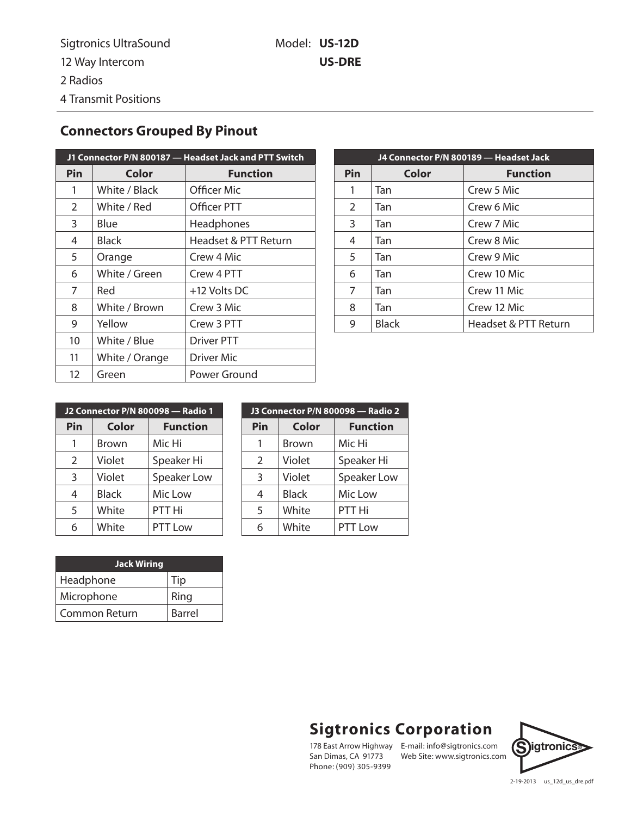## **Connectors Grouped By Pinout**

| J1 Connector P/N 800187 - Headset Jack and PTT Switch |                |                      |  |
|-------------------------------------------------------|----------------|----------------------|--|
| Pin                                                   | Color          | <b>Function</b>      |  |
| 1                                                     | White / Black  | Officer Mic          |  |
| $\overline{2}$                                        | White / Red    | Officer PTT          |  |
| 3                                                     | Blue           | Headphones           |  |
| 4                                                     | Black          | Headset & PTT Return |  |
| 5                                                     | Orange         | Crew 4 Mic           |  |
| 6                                                     | White / Green  | Crew 4 PTT           |  |
| 7                                                     | Red            | +12 Volts DC         |  |
| 8                                                     | White / Brown  | Crew 3 Mic           |  |
| 9                                                     | Yellow         | Crew 3 PTT           |  |
| 10                                                    | White / Blue   | <b>Driver PTT</b>    |  |
| 11                                                    | White / Orange | Driver Mic           |  |
| 12                                                    | Green          | Power Ground         |  |

| J4 Connector P/N 800189 - Headset Jack |              |                      |  |
|----------------------------------------|--------------|----------------------|--|
| Pin                                    | Color        | <b>Function</b>      |  |
| 1                                      | Tan          | Crew 5 Mic           |  |
| 2                                      | Tan          | Crew 6 Mic           |  |
| 3                                      | Tan          | Crew 7 Mic           |  |
| 4                                      | Tan          | Crew 8 Mic           |  |
| 5                                      | Tan          | Crew 9 Mic           |  |
| 6                                      | Tan          | Crew 10 Mic          |  |
| 7                                      | Tan          | Crew 11 Mic          |  |
| 8                                      | Tan          | Crew 12 Mic          |  |
| 9                                      | <b>Black</b> | Headset & PTT Return |  |

| J2 Connector P/N 800098 - Radio 1 |              |                 |
|-----------------------------------|--------------|-----------------|
| Pin                               | Color        | <b>Function</b> |
| 1                                 | <b>Brown</b> | Mic Hi          |
| $\overline{2}$                    | Violet       | Speaker Hi      |
| 3                                 | Violet       | Speaker Low     |
| 4                                 | <b>Black</b> | Mic Low         |
| 5                                 | White        | PTT Hi          |
| 6                                 | White        | PTT Low         |

| J3 Connector P/N 800098 - Radio 2 |              |                 |
|-----------------------------------|--------------|-----------------|
| Pin                               | Color        | <b>Function</b> |
| 1                                 | <b>Brown</b> | Mic Hi          |
| $\overline{2}$                    | Violet       | Speaker Hi      |
| $\mathbf{3}$                      | Violet       | Speaker Low     |
| 4                                 | <b>Black</b> | Mic Low         |
| 5                                 | White        | PTT Hi          |
| 6                                 | White        | PTT Low         |

| <b>Jack Wiring</b> |        |
|--------------------|--------|
| Headphone          | Tip    |
| Microphone         | Ring   |
| l Common Return    | Barrel |

## **Sigtronics Corporation**

San Dimas, CA 91773 Phone: (909) 305-9399

178 East Arrow Highway E-mail: info@sigtronics.com E-mail: info@sigtronics.com<br>Web Site: www.sigtronics.com



2-19-2013 us\_12d\_us\_dre.pdf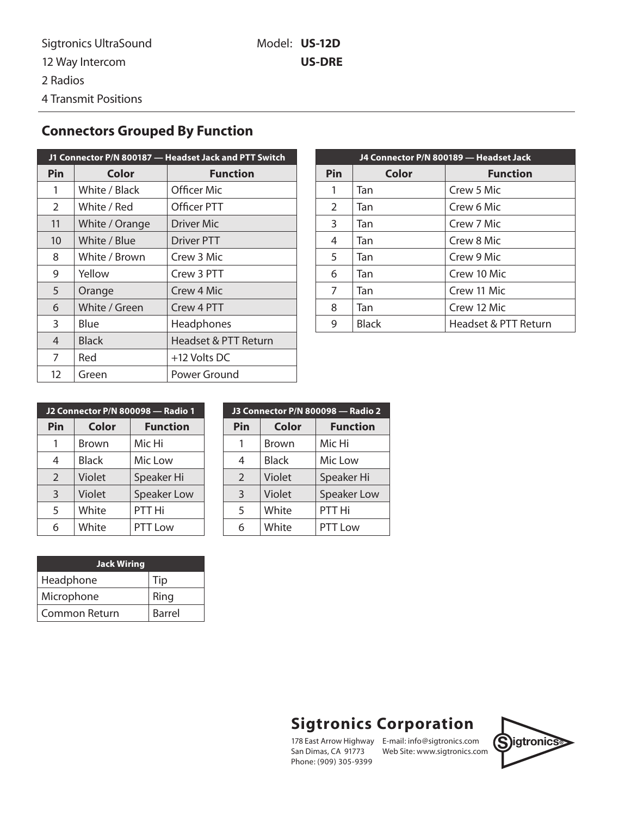## **Connectors Grouped By Function**

| J1 Connector P/N 800187 - Headset Jack and PTT Switch |                |                      |  |
|-------------------------------------------------------|----------------|----------------------|--|
| Pin                                                   | Color          | <b>Function</b>      |  |
| 1                                                     | White / Black  | Officer Mic          |  |
| $\overline{2}$                                        | White / Red    | Officer PTT          |  |
| 11                                                    | White / Orange | Driver Mic           |  |
| 10                                                    | White / Blue   | Driver PTT           |  |
| 8                                                     | White / Brown  | Crew 3 Mic           |  |
| 9                                                     | Yellow         | Crew 3 PTT           |  |
| 5                                                     | Orange         | Crew 4 Mic           |  |
| 6                                                     | White / Green  | Crew 4 PTT           |  |
| 3                                                     | Blue           | Headphones           |  |
| 4                                                     | <b>Black</b>   | Headset & PTT Return |  |
| 7                                                     | Red            | +12 Volts DC         |  |
| 12                                                    | Green          | Power Ground         |  |

| J4 Connector P/N 800189 - Headset Jack |       |                      |  |
|----------------------------------------|-------|----------------------|--|
| Pin                                    | Color | <b>Function</b>      |  |
| 1                                      | Tan   | Crew 5 Mic           |  |
| 2                                      | Tan   | Crew 6 Mic           |  |
| 3                                      | Tan   | Crew 7 Mic           |  |
| 4                                      | Tan   | Crew 8 Mic           |  |
| 5                                      | Tan   | Crew 9 Mic           |  |
| 6                                      | Tan   | Crew 10 Mic          |  |
| 7                                      | Tan   | Crew 11 Mic          |  |
| 8                                      | Tan   | Crew 12 Mic          |  |
| g                                      | Black | Headset & PTT Return |  |

| J2 Connector P/N 800098 - Radio 1 |              |                 |
|-----------------------------------|--------------|-----------------|
| Pin                               | <b>Color</b> | <b>Function</b> |
| 1                                 | Brown        | Mic Hi          |
| 4                                 | <b>Black</b> | Mic Low         |
| $\overline{2}$                    | Violet       | Speaker Hi      |
| 3                                 | Violet       | Speaker Low     |
| 5                                 | White        | PTT Hi          |
| 6                                 | White        | PTT Low         |

| <b>Jack Wiring</b> |               |
|--------------------|---------------|
| Headphone          | Tip           |
| Microphone         | Ring          |
| Common Return      | <b>Barrel</b> |

| J3 Connector P/N 800098 - Radio 2 |              |                    |
|-----------------------------------|--------------|--------------------|
| Pin                               | Color        | <b>Function</b>    |
|                                   | Brown        | Mic Hi             |
| 4                                 | <b>Black</b> | Mic Low            |
| $\overline{2}$                    | Violet       | Speaker Hi         |
| 3                                 | Violet       | <b>Speaker Low</b> |
| 5                                 | White        | PTT Hi             |
| 6                                 | White        | PTT Low            |

## **Sigtronics Corporation**

San Dimas, CA 91773 Phone: (909) 305-9399

178 East Arrow Highway E-mail: info@sigtronics.com **Sigtronics**